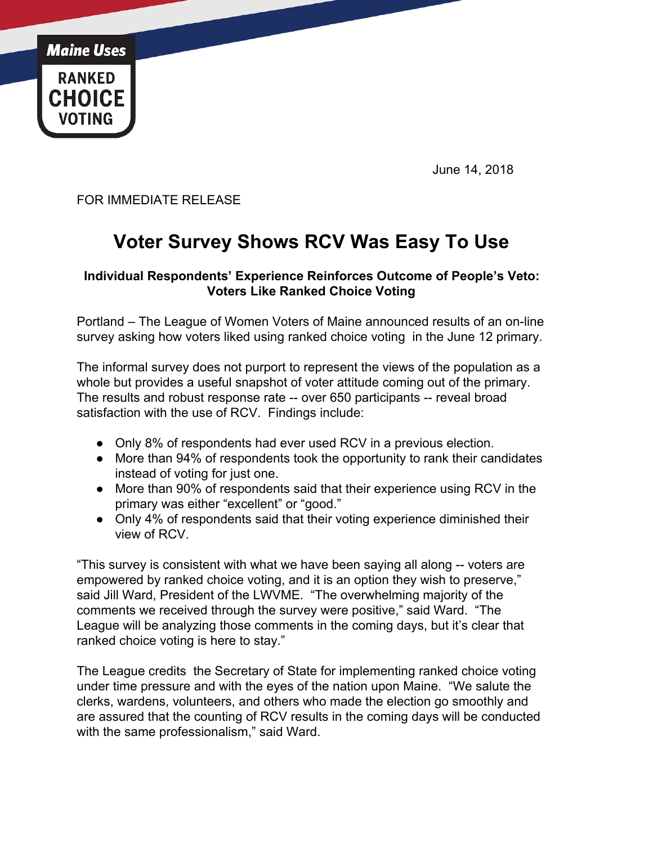

June 14, 2018

FOR IMMEDIATE RELEASE

## **Voter Survey Shows RCV Was Easy To Use**

## **Individual Respondents' Experience Reinforces Outcome of People's Veto: Voters Like Ranked Choice Voting**

Portland – The League of Women Voters of Maine announced results of an on-line survey asking how voters liked using ranked choice voting in the June 12 primary.

The informal survey does not purport to represent the views of the population as a whole but provides a useful snapshot of voter attitude coming out of the primary. The results and robust response rate -- over 650 participants -- reveal broad satisfaction with the use of RCV. Findings include:

- Only 8% of respondents had ever used RCV in a previous election.
- More than 94% of respondents took the opportunity to rank their candidates instead of voting for just one.
- More than 90% of respondents said that their experience using RCV in the primary was either "excellent" or "good."
- Only 4% of respondents said that their voting experience diminished their view of RCV.

"This survey is consistent with what we have been saying all along -- voters are empowered by ranked choice voting, and it is an option they wish to preserve," said Jill Ward, President of the LWVME. "The overwhelming majority of the comments we received through the survey were positive," said Ward. "The League will be analyzing those comments in the coming days, but it's clear that ranked choice voting is here to stay."

The League credits the Secretary of State for implementing ranked choice voting under time pressure and with the eyes of the nation upon Maine. "We salute the clerks, wardens, volunteers, and others who made the election go smoothly and are assured that the counting of RCV results in the coming days will be conducted with the same professionalism," said Ward.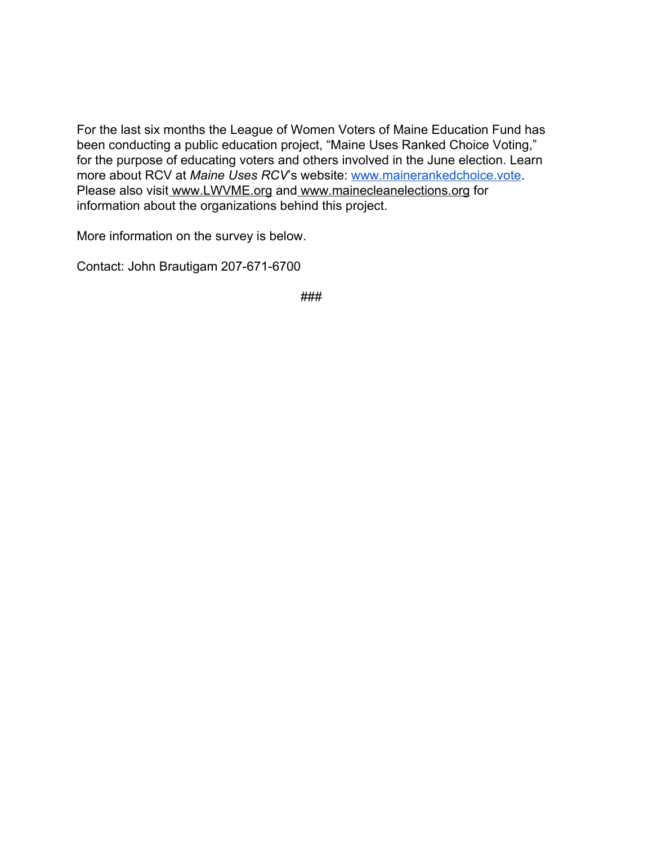For the last six months the League of Women Voters of Maine Education Fund has been conducting a public education project, "Maine Uses Ranked Choice Voting," for the purpose of educating voters and others involved in the June election. Learn more about RCV at *Maine Uses RCV*'s website: [www.mainerankedchoice.vote.](http://www.mainerankedchoice.vote/) Please also visit [www.LWVME.org](http://www.lwvme.org/) and [www.mainecleanelections.org](http://www.mainecleanelections.org/) for information about the organizations behind this project.

More information on the survey is below.

Contact: John Brautigam 207-671-6700

###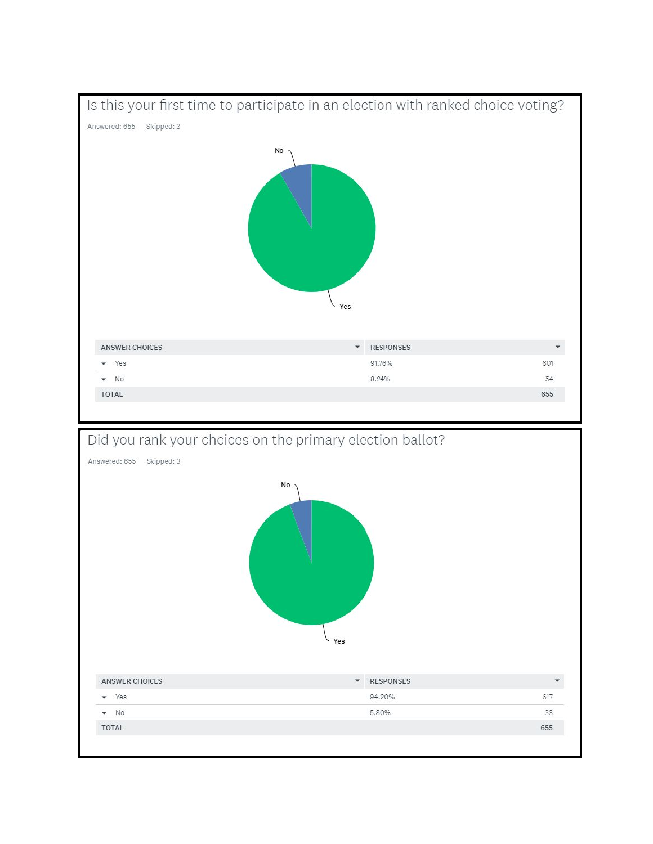



Yes